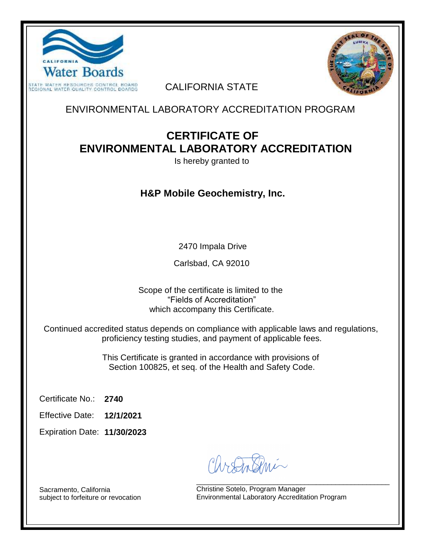



CALIFORNIA STATE

ENVIRONMENTAL LABORATORY ACCREDITATION PROGRAM

# **CERTIFICATE OF ENVIRONMENTAL LABORATORY ACCREDITATION**

Is hereby granted to

## **H&P Mobile Geochemistry, Inc.**

2470 Impala Drive

Carlsbad, CA 92010

Scope of the certificate is limited to the "Fields of Accreditation" which accompany this Certificate.

Continued accredited status depends on compliance with applicable laws and regulations, proficiency testing studies, and payment of applicable fees.

> This Certificate is granted in accordance with provisions of Section 100825, et seq. of the Health and Safety Code.

**2740** Certificate No.:

**12/1/2021** Effective Date:

**11/30/2023** Expiration Date:

\_\_\_\_\_\_\_\_\_\_\_\_\_\_\_\_\_\_\_\_\_\_\_\_\_\_\_\_\_\_\_\_\_\_\_\_\_\_\_\_\_\_\_\_\_\_\_\_\_\_ Christine Sotelo, Program Manager Environmental Laboratory Accreditation Program

Sacramento, California subject to forfeiture or revocation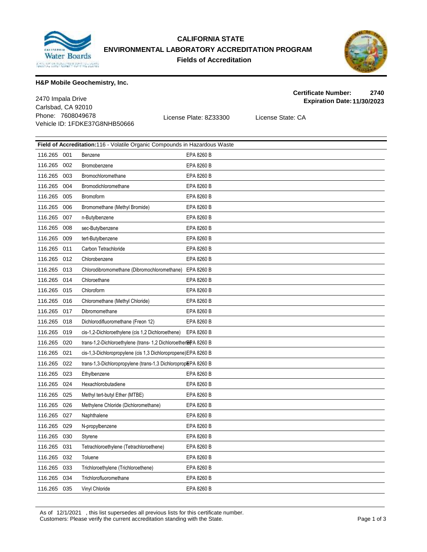

### **CALIFORNIA STATE ENVIRONMENTAL LABORATORY ACCREDITATION PROGRAM Fields of Accreditation**



**Certificate Number: 2740**

#### **H&P Mobile Geochemistry, Inc.**

Carlsbad, CA 92010 Phone: 7608049678 License Plate: 8Z33300 License State: CA Vehicle ID: 1FDKE37G8NHB50666 **Expiration Date:11/30/2023** 2470 Impala Drive

| <b>Field of Accreditation:116 - Volatile Organic Compounds in Hazardous Waste</b> |     |                                                                 |            |  |  |
|-----------------------------------------------------------------------------------|-----|-----------------------------------------------------------------|------------|--|--|
| 116.265                                                                           | 001 | Benzene                                                         | EPA 8260 B |  |  |
| 116.265                                                                           | 002 | Bromobenzene                                                    | EPA 8260 B |  |  |
| 116.265                                                                           | 003 | Bromochloromethane                                              | EPA 8260 B |  |  |
| 116.265                                                                           | 004 | Bromodichloromethane                                            | EPA 8260 B |  |  |
| 116.265                                                                           | 005 | Bromoform                                                       | EPA 8260 B |  |  |
| 116.265                                                                           | 006 | Bromomethane (Methyl Bromide)                                   | EPA 8260 B |  |  |
| 116.265                                                                           | 007 | n-Butylbenzene                                                  | EPA 8260 B |  |  |
| 116.265                                                                           | 008 | sec-Butylbenzene                                                | EPA 8260 B |  |  |
| 116.265                                                                           | 009 | tert-Butylbenzene                                               | EPA 8260 B |  |  |
| 116.265                                                                           | 011 | Carbon Tetrachloride                                            | EPA 8260 B |  |  |
| 116.265                                                                           | 012 | Chlorobenzene                                                   | EPA 8260 B |  |  |
| 116.265                                                                           | 013 | Chlorodibromomethane (Dibromochloromethane)                     | EPA 8260 B |  |  |
| 116.265                                                                           | 014 | Chloroethane                                                    | EPA 8260 B |  |  |
| 116.265                                                                           | 015 | Chloroform                                                      | EPA 8260 B |  |  |
| 116.265                                                                           | 016 | Chloromethane (Methyl Chloride)                                 | EPA 8260 B |  |  |
| 116.265                                                                           | 017 | Dibromomethane                                                  | EPA 8260 B |  |  |
| 116.265                                                                           | 018 | Dichlorodifluoromethane (Freon 12)                              | EPA 8260 B |  |  |
| 116.265                                                                           | 019 | cis-1,2-Dichloroethylene (cis 1,2 Dichloroethene)               | EPA 8260 B |  |  |
| 116.265                                                                           | 020 | trans-1,2-Dichloroethylene (trans- 1,2 Dichloroether EPA 8260 B |            |  |  |
| 116.265                                                                           | 021 | cis-1,3-Dichloropropylene (cis 1,3 Dichloropropene) EPA 8260 B  |            |  |  |
| 116.265                                                                           | 022 | trans-1,3-Dichloropropylene (trans-1,3 DichloropropEPA 8260 B   |            |  |  |
| 116.265                                                                           | 023 | Ethylbenzene                                                    | EPA 8260 B |  |  |
| 116.265                                                                           | 024 | Hexachlorobutadiene                                             | EPA 8260 B |  |  |
| 116.265                                                                           | 025 | Methyl tert-butyl Ether (MTBE)                                  | EPA 8260 B |  |  |
| 116.265                                                                           | 026 | Methylene Chloride (Dichloromethane)                            | EPA 8260 B |  |  |
| 116.265                                                                           | 027 | Naphthalene                                                     | EPA 8260 B |  |  |
| 116.265                                                                           | 029 | N-propylbenzene                                                 | EPA 8260 B |  |  |
| 116.265                                                                           | 030 | Styrene                                                         | EPA 8260 B |  |  |
| 116.265                                                                           | 031 | Tetrachloroethylene (Tetrachloroethene)                         | EPA 8260 B |  |  |
| 116.265                                                                           | 032 | Toluene                                                         | EPA 8260 B |  |  |
| 116.265                                                                           | 033 | Trichloroethylene (Trichloroethene)                             | EPA 8260 B |  |  |
| 116.265                                                                           | 034 | Trichlorofluoromethane                                          | EPA 8260 B |  |  |
| 116.265                                                                           | 035 | Vinyl Chloride                                                  | EPA 8260 B |  |  |

As of 12/1/2021 , this list supersedes all previous lists for this certificate number. Customers: Please verify the current accreditation standing with the State. Page 1 of 3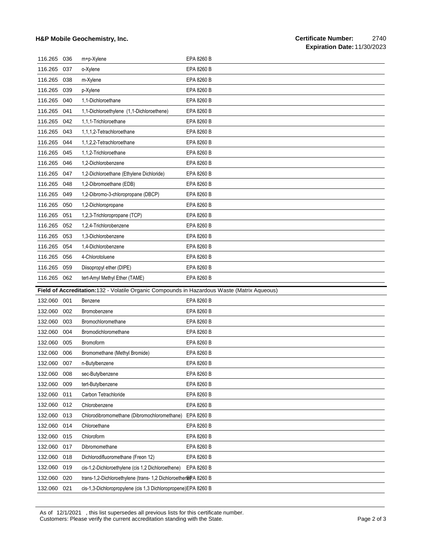#### **H&P Mobile Geochemistry, Inc.**

| 116.265 | 036 | m+p-Xylene                                                                                  | EPA 8260 B |
|---------|-----|---------------------------------------------------------------------------------------------|------------|
| 116.265 | 037 | o-Xylene                                                                                    | EPA 8260 B |
| 116.265 | 038 | m-Xylene                                                                                    | EPA 8260 B |
| 116.265 | 039 | p-Xylene                                                                                    | EPA 8260 B |
| 116.265 | 040 | 1,1-Dichloroethane                                                                          | EPA 8260 B |
| 116.265 | 041 | 1,1-Dichloroethylene (1,1-Dichloroethene)                                                   | EPA 8260 B |
| 116.265 | 042 | 1,1,1-Trichloroethane                                                                       | EPA 8260 B |
| 116.265 | 043 | 1,1,1,2-Tetrachloroethane                                                                   | EPA 8260 B |
| 116.265 | 044 | 1,1,2,2-Tetrachloroethane                                                                   | EPA 8260 B |
| 116.265 | 045 | 1.1.2-Trichloroethane                                                                       | EPA 8260 B |
| 116.265 | 046 | 1,2-Dichlorobenzene                                                                         | EPA 8260 B |
| 116.265 | 047 | 1,2-Dichloroethane (Ethylene Dichloride)                                                    | EPA 8260 B |
| 116.265 | 048 | 1,2-Dibromoethane (EDB)                                                                     | EPA 8260 B |
| 116.265 | 049 | 1,2-Dibromo-3-chloropropane (DBCP)                                                          | EPA 8260 B |
| 116.265 | 050 | 1,2-Dichloropropane                                                                         | EPA 8260 B |
| 116.265 | 051 | 1,2,3-Trichloropropane (TCP)                                                                | EPA 8260 B |
| 116.265 | 052 | 1.2.4-Trichlorobenzene                                                                      | EPA 8260 B |
| 116.265 | 053 | 1,3-Dichlorobenzene                                                                         | EPA 8260 B |
| 116.265 | 054 | 1,4-Dichlorobenzene                                                                         | EPA 8260 B |
| 116.265 | 056 | 4-Chlorotoluene                                                                             | EPA 8260 B |
| 116.265 | 059 | Diisopropyl ether (DIPE)                                                                    | EPA 8260 B |
|         |     |                                                                                             |            |
| 116.265 | 062 | tert-Amyl Methyl Ether (TAME)                                                               | EPA 8260 B |
|         |     | Field of Accreditation:132 - Volatile Organic Compounds in Hazardous Waste (Matrix Aqueous) |            |
| 132.060 | 001 | Benzene                                                                                     | EPA 8260 B |
| 132.060 | 002 | Bromobenzene                                                                                | EPA 8260 B |
| 132.060 | 003 | Bromochloromethane                                                                          | EPA 8260 B |
| 132.060 | 004 | Bromodichloromethane                                                                        | EPA 8260 B |
| 132.060 | 005 | Bromoform                                                                                   | EPA 8260 B |
| 132.060 | 006 | Bromomethane (Methyl Bromide)                                                               | EPA 8260 B |
| 132.060 | 007 | n-Butylbenzene                                                                              | EPA 8260 B |
| 132.060 | 008 | sec-Butylbenzene                                                                            | EPA 8260 B |
| 132.060 | 009 | tert-Butylbenzene                                                                           | EPA 8260 B |
| 132.060 | 011 | Carbon Tetrachloride                                                                        | EPA 8260 B |
| 132.060 | 012 | Chlorobenzene                                                                               | EPA 8260 B |
| 132.060 | 013 | Chlorodibromomethane (Dibromochloromethane)                                                 | EPA 8260 B |
| 132.060 | 014 | Chloroethane                                                                                | EPA 8260 B |
| 132.060 | 015 | Chloroform                                                                                  | EPA 8260 B |
| 132.060 | 017 | Dibromomethane                                                                              | EPA 8260 B |
| 132.060 | 018 | Dichlorodifluoromethane (Freon 12)                                                          | EPA 8260 B |
| 132.060 | 019 | cis-1,2-Dichloroethylene (cis 1,2 Dichloroethene)                                           | EPA 8260 B |
| 132.060 | 020 | trans-1,2-Dichloroethylene (trans- 1,2 Dichloroether&PA 8260 B                              |            |

As of 12/1/2021 , this list supersedes all previous lists for this certificate number. Customers: Please verify the current accreditation standing with the State. Page 2 of 3